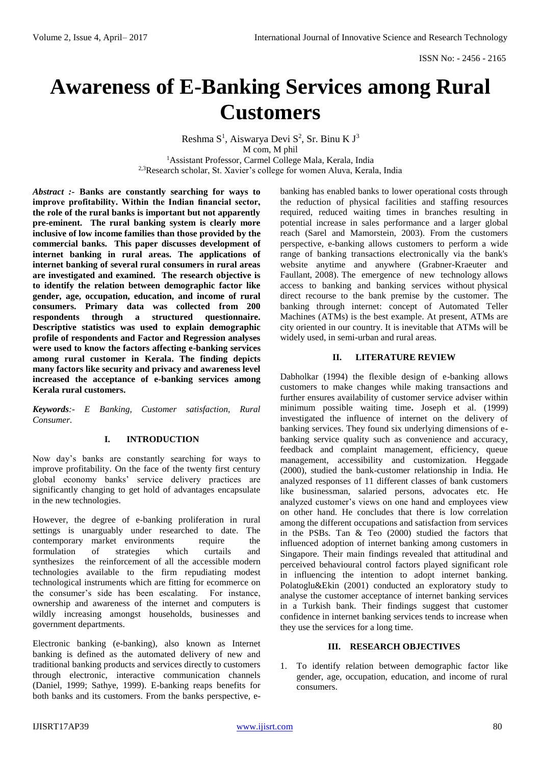# **Awareness of E-Banking Services among Rural Customers**

Reshma  $S^1$ , Aiswarya Devi  $S^2$ , Sr. Binu K J<sup>3</sup> M com, M phil <sup>1</sup>Assistant Professor, Carmel College Mala, Kerala, India <sup>2,3</sup>Research scholar, St. Xavier's college for women Aluva, Kerala, India

*Abstract :-* **Banks are constantly searching for ways to improve profitability. Within the Indian financial sector, the role of the rural banks is important but not apparently pre-eminent. The rural banking system is clearly more inclusive of low income families than those provided by the commercial banks. This paper discusses development of internet banking in rural areas. The applications of internet banking of several rural consumers in rural areas are investigated and examined. The research objective is to identify the relation between demographic factor like gender, age, occupation, education, and income of rural consumers. Primary data was collected from 200 respondents through a structured questionnaire. Descriptive statistics was used to explain demographic profile of respondents and Factor and Regression analyses were used to know the factors affecting e-banking services among rural customer in Kerala. The finding depicts many factors like security and privacy and awareness level increased the acceptance of e-banking services among Kerala rural customers.**

*Keywords:- E Banking, Customer satisfaction, Rural Consumer.*

#### **I. INTRODUCTION**

Now day's banks are constantly searching for ways to improve profitability. On the face of the twenty first century global economy banks' service delivery practices are significantly changing to get hold of advantages encapsulate in the new technologies.

However, the degree of e-banking proliferation in rural settings is unarguably under researched to date. The contemporary market environments require the formulation of strategies which curtails and synthesizes the reinforcement of all the accessible modern technologies available to the firm repudiating modest technological instruments which are fitting for ecommerce on the consumer's side has been escalating. For instance, ownership and awareness of the internet and computers is wildly increasing amongst households, businesses and government departments.

Electronic banking (e-banking), also known as Internet banking is defined as the automated delivery of new and traditional banking products and services directly to customers through electronic, interactive communication channels (Daniel, 1999; Sathye, 1999). E-banking reaps benefits for both banks and its customers. From the banks perspective, ebanking has enabled banks to lower operational costs through the reduction of physical facilities and staffing resources required, reduced waiting times in branches resulting in potential increase in sales performance and a larger global reach (Sarel and Mamorstein, 2003). From the customers perspective, e-banking allows customers to perform a wide range of banking transactions electronically via the bank's website anytime and anywhere (Grabner-Kraeuter and Faullant, 2008). The emergence of new technology allows access to banking and banking services without physical direct recourse to the bank premise by the customer. The banking through internet: concept of Automated Teller Machines (ATMs) is the best example. At present, ATMs are city oriented in our country. It is inevitable that ATMs will be widely used, in semi-urban and rural areas.

#### **II. LITERATURE REVIEW**

Dabholkar (1994) the flexible design of e-banking allows customers to make changes while making transactions and further ensures availability of customer service adviser within minimum possible waiting time**.** Joseph et al. (1999) investigated the influence of internet on the delivery of banking services. They found six underlying dimensions of ebanking service quality such as convenience and accuracy, feedback and complaint management, efficiency, queue management, accessibility and customization. Heggade (2000), studied the bank-customer relationship in India. He analyzed responses of 11 different classes of bank customers like businessman, salaried persons, advocates etc. He analyzed customer's views on one hand and employees view on other hand. He concludes that there is low correlation among the different occupations and satisfaction from services in the PSBs. Tan & Teo (2000) studied the factors that influenced adoption of internet banking among customers in Singapore. Their main findings revealed that attitudinal and perceived behavioural control factors played significant role in influencing the intention to adopt internet banking. Polatoglu&Ekin (2001) conducted an exploratory study to analyse the customer acceptance of internet banking services in a Turkish bank. Their findings suggest that customer confidence in internet banking services tends to increase when they use the services for a long time.

#### **III. RESEARCH OBJECTIVES**

1. To identify relation between demographic factor like gender, age, occupation, education, and income of rural consumers.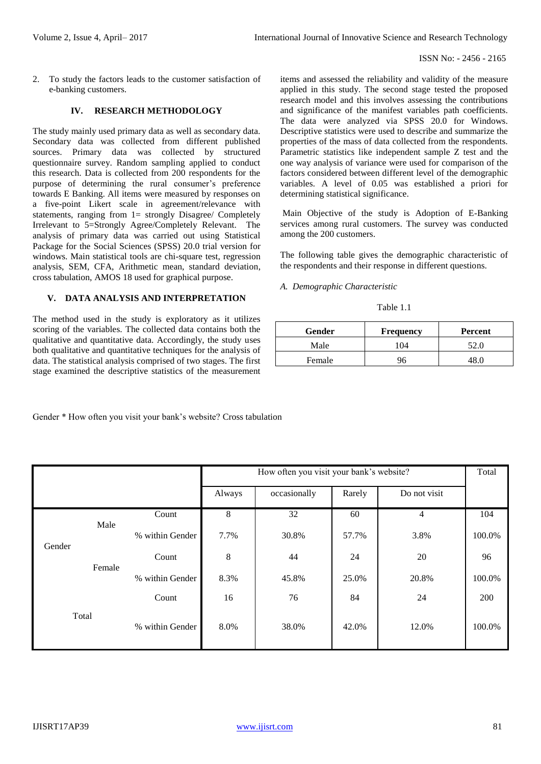2. To study the factors leads to the customer satisfaction of e-banking customers.

## **IV. RESEARCH METHODOLOGY**

The study mainly used primary data as well as secondary data. Secondary data was collected from different published sources. Primary data was collected by structured questionnaire survey. Random sampling applied to conduct this research. Data is collected from 200 respondents for the purpose of determining the rural consumer's preference towards E Banking. All items were measured by responses on a five-point Likert scale in agreement/relevance with statements, ranging from 1= strongly Disagree/ Completely Irrelevant to 5=Strongly Agree/Completely Relevant. The analysis of primary data was carried out using Statistical Package for the Social Sciences (SPSS) 20.0 trial version for windows. Main statistical tools are chi-square test, regression analysis, SEM, CFA, Arithmetic mean, standard deviation, cross tabulation, AMOS 18 used for graphical purpose.

# **V. DATA ANALYSIS AND INTERPRETATION**

The method used in the study is exploratory as it utilizes scoring of the variables. The collected data contains both the qualitative and quantitative data. Accordingly, the study uses both qualitative and quantitative techniques for the analysis of data. The statistical analysis comprised of two stages. The first stage examined the descriptive statistics of the measurement items and assessed the reliability and validity of the measure applied in this study. The second stage tested the proposed research model and this involves assessing the contributions and significance of the manifest variables path coefficients. The data were analyzed via SPSS 20.0 for Windows. Descriptive statistics were used to describe and summarize the properties of the mass of data collected from the respondents. Parametric statistics like independent sample Z test and the one way analysis of variance were used for comparison of the factors considered between different level of the demographic variables. A level of 0.05 was established a priori for determining statistical significance.

Main Objective of the study is Adoption of E-Banking services among rural customers. The survey was conducted among the 200 customers.

The following table gives the demographic characteristic of the respondents and their response in different questions.

*A. Demographic Characteristic* 

Table 1.1

| <b>Gender</b> | <b>Frequency</b> | Percent |
|---------------|------------------|---------|
| Male          | 104              | 52.0    |
| Female        |                  |         |

Gender \* How often you visit your bank's website? Cross tabulation

|        |        |                 | How often you visit your bank's website? |              |        |              | Total  |
|--------|--------|-----------------|------------------------------------------|--------------|--------|--------------|--------|
|        |        |                 | Always                                   | occasionally | Rarely | Do not visit |        |
|        | Male   | Count           | 8                                        | 32           | 60     | 4            | 104    |
| Gender |        | % within Gender | 7.7%                                     | 30.8%        | 57.7%  | 3.8%         | 100.0% |
|        |        | Count           | 8                                        | 44           | 24     | 20           | 96     |
|        | Female | % within Gender | 8.3%                                     | 45.8%        | 25.0%  | 20.8%        | 100.0% |
|        |        | Count           | 16                                       | 76           | 84     | 24           | 200    |
|        | Total  | % within Gender | 8.0%                                     | 38.0%        | 42.0%  | 12.0%        | 100.0% |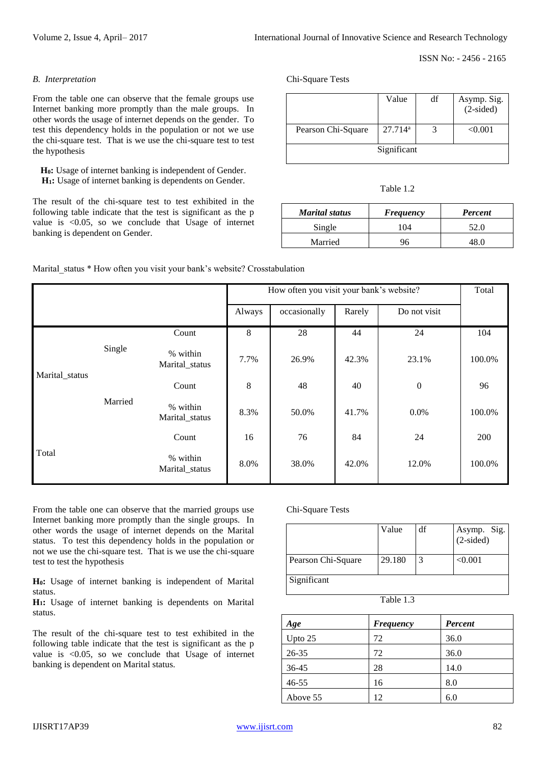#### *B. Interpretation*

From the table one can observe that the female groups use Internet banking more promptly than the male groups. In other words the usage of internet depends on the gender. To test this dependency holds in the population or not we use the chi-square test. That is we use the chi-square test to test the hypothesis

**H0:** Usage of internet banking is independent of Gender. **H1:** Usage of internet banking is dependents on Gender.

The result of the chi-square test to test exhibited in the following table indicate that the test is significant as the p value is <0.05, so we conclude that Usage of internet banking is dependent on Gender.

Chi-Square Tests

|                    | Value      | df | Asymp. Sig.<br>(2-sided) |  |  |
|--------------------|------------|----|--------------------------|--|--|
| Pearson Chi-Square | $27.714^a$ |    | < 0.001                  |  |  |
| Significant        |            |    |                          |  |  |

| Table |  |
|-------|--|
|       |  |

| <b>Marital status</b> | <b>Frequency</b> | Percent |
|-----------------------|------------------|---------|
| Single                | 04               | 52.0    |
| Married               |                  |         |

Marital status \* How often you visit your bank's website? Crosstabulation

| How often you visit your bank's website? |         |                            |        |              |        | Total            |        |
|------------------------------------------|---------|----------------------------|--------|--------------|--------|------------------|--------|
|                                          |         |                            | Always | occasionally | Rarely | Do not visit     |        |
|                                          |         | Count                      | 8      | 28           | 44     | 24               | 104    |
|                                          | Single  | % within<br>Marital_status | 7.7%   | 26.9%        | 42.3%  | 23.1%            | 100.0% |
| Marital_status                           | Married | Count                      | 8      | 48           | 40     | $\boldsymbol{0}$ | 96     |
|                                          |         | % within<br>Marital_status | 8.3%   | 50.0%        | 41.7%  | 0.0%             | 100.0% |
|                                          |         | Count                      | 16     | 76           | 84     | 24               | 200    |
| Total                                    |         | % within<br>Marital_status | 8.0%   | 38.0%        | 42.0%  | 12.0%            | 100.0% |

From the table one can observe that the married groups use Internet banking more promptly than the single groups. In other words the usage of internet depends on the Marital status. To test this dependency holds in the population or not we use the chi-square test. That is we use the chi-square test to test the hypothesis

**H0:** Usage of internet banking is independent of Marital status.

**H1:** Usage of internet banking is dependents on Marital status.

The result of the chi-square test to test exhibited in the following table indicate that the test is significant as the p value is <0.05, so we conclude that Usage of internet banking is dependent on Marital status.

Chi-Square Tests

|                    | Value  | df | Asymp. Sig.<br>(2-sided) |
|--------------------|--------|----|--------------------------|
| Pearson Chi-Square | 29.180 |    | < 0.001                  |
| Significant        |        |    |                          |

| Age       | <b>Frequency</b> | <b>Percent</b> |
|-----------|------------------|----------------|
| Upto $25$ | 72               | 36.0           |
| 26-35     | 72               | 36.0           |
| 36-45     | 28               | 14.0           |
| $46 - 55$ | 16               | 8.0            |
| Above 55  | 12               | 6.0            |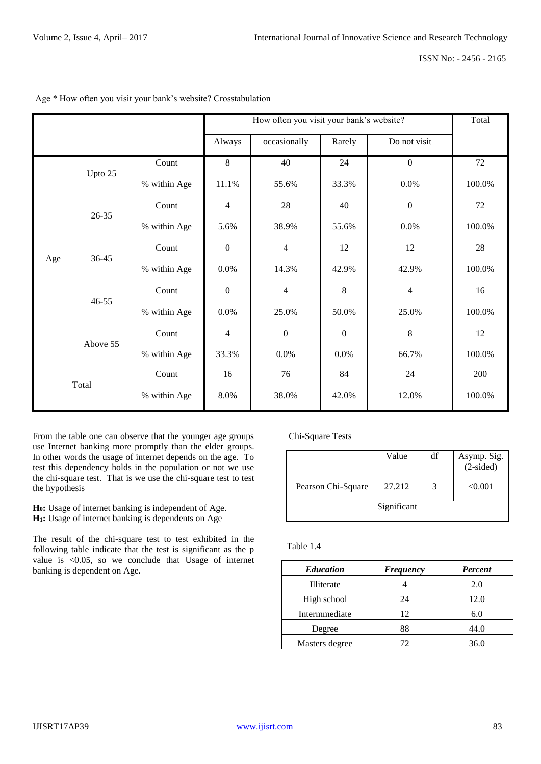|  |                  |              |                          | How often you visit your bank's website? |                  |                  | Total  |
|--|------------------|--------------|--------------------------|------------------------------------------|------------------|------------------|--------|
|  |                  |              | Always                   | occasionally                             | Rarely           | Do not visit     |        |
|  | Upto 25          | Count        | $8\,$                    | 40                                       | 24               | $\boldsymbol{0}$ | 72     |
|  |                  | % within Age | 11.1%                    | 55.6%                                    | 33.3%            | 0.0%             | 100.0% |
|  | $26 - 35$        | Count        | $\overline{\mathcal{L}}$ | 28                                       | 40               | $\boldsymbol{0}$ | 72     |
|  |                  | % within Age | 5.6%                     | 38.9%                                    | 55.6%            | 0.0%             | 100.0% |
|  | 36-45            | Count        | $\boldsymbol{0}$         | $\overline{4}$                           | 12               | 12               | 28     |
|  | Age<br>$46 - 55$ | % within Age | 0.0%                     | 14.3%                                    | 42.9%            | 42.9%            | 100.0% |
|  |                  | Count        | $\boldsymbol{0}$         | $\overline{4}$                           | 8                | $\overline{4}$   | 16     |
|  |                  | % within Age | 0.0%                     | 25.0%                                    | 50.0%            | 25.0%            | 100.0% |
|  | Above 55         | Count        | $\overline{4}$           | $\boldsymbol{0}$                         | $\boldsymbol{0}$ | $\,8\,$          | 12     |
|  |                  | % within Age | 33.3%                    | 0.0%                                     | 0.0%             | 66.7%            | 100.0% |
|  | Total            | Count        | 16                       | 76                                       | 84               | 24               | 200    |
|  |                  | % within Age | 8.0%                     | 38.0%                                    | 42.0%            | 12.0%            | 100.0% |

Age \* How often you visit your bank's website? Crosstabulation

From the table one can observe that the younger age groups use Internet banking more promptly than the elder groups. In other words the usage of internet depends on the age. To test this dependency holds in the population or not we use the chi-square test. That is we use the chi-square test to test the hypothesis

**H0:** Usage of internet banking is independent of Age. **H1:** Usage of internet banking is dependents on Age

The result of the chi-square test to test exhibited in the following table indicate that the test is significant as the p value is <0.05, so we conclude that Usage of internet banking is dependent on Age.

## Chi-Square Tests

|                    | Value       | df | Asymp. Sig.<br>$(2-sided)$ |
|--------------------|-------------|----|----------------------------|
| Pearson Chi-Square | 27.212      |    | < 0.001                    |
|                    | Significant |    |                            |

| <b>Education</b> | <b>Frequency</b> | <b>Percent</b> |
|------------------|------------------|----------------|
| Illiterate       |                  | 2.0            |
| High school      | 24               | 12.0           |
| Intermmediate    | 12               | 6.0            |
| Degree           | 88               | 44.0           |
| Masters degree   | 72.              | 36.0           |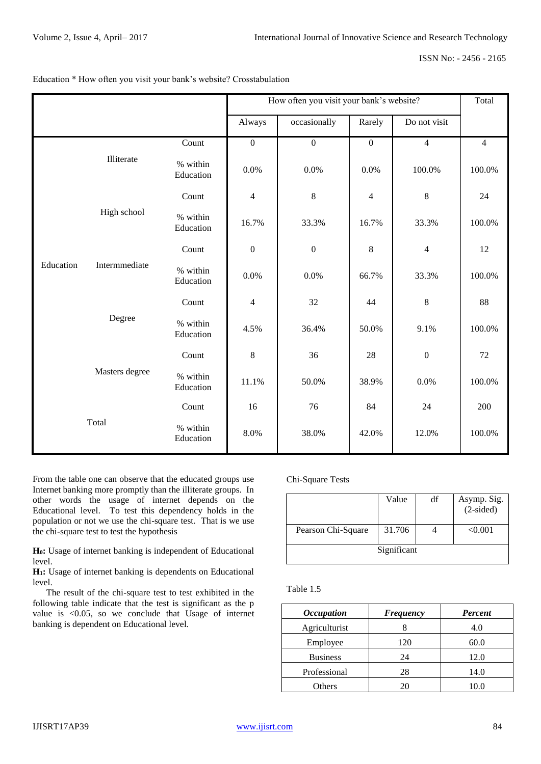|           |                |                       |                          | How often you visit your bank's website? |                  |                  | Total          |
|-----------|----------------|-----------------------|--------------------------|------------------------------------------|------------------|------------------|----------------|
|           |                |                       | Always                   | occasionally                             | Rarely           | Do not visit     |                |
|           |                | Count                 | $\boldsymbol{0}$         | $\boldsymbol{0}$                         | $\boldsymbol{0}$ | $\overline{4}$   | $\overline{4}$ |
|           | Illiterate     | % within<br>Education | 0.0%                     | 0.0%                                     | 0.0%             | 100.0%           | 100.0%         |
|           |                | Count                 | $\overline{4}$           | $\,$ 8 $\,$                              | 4                | $\,8\,$          | 24             |
| Education | High school    | % within<br>Education | 16.7%                    | 33.3%                                    | 16.7%            | 33.3%            | 100.0%         |
|           | Intermmediate  | Count                 | $\boldsymbol{0}$         | $\overline{0}$                           | 8                | $\overline{4}$   | 12             |
|           |                | % within<br>Education | 0.0%                     | 0.0%                                     | 66.7%            | 33.3%            | 100.0%         |
|           |                | Count                 | $\overline{\mathcal{A}}$ | 32                                       | 44               | 8                | 88             |
|           | Degree         | % within<br>Education | 4.5%                     | 36.4%                                    | 50.0%            | 9.1%             | 100.0%         |
|           |                | Count                 | 8                        | 36                                       | 28               | $\boldsymbol{0}$ | 72             |
|           | Masters degree | % within<br>Education | 11.1%                    | 50.0%                                    | 38.9%            | 0.0%             | 100.0%         |
|           |                | Count                 | 16                       | 76                                       | 84               | 24               | 200            |
|           | Total          | % within<br>Education | 8.0%                     | 38.0%                                    | 42.0%            | 12.0%            | 100.0%         |

### Education \* How often you visit your bank's website? Crosstabulation

From the table one can observe that the educated groups use Internet banking more promptly than the illiterate groups. In other words the usage of internet depends on the Educational level. To test this dependency holds in the population or not we use the chi-square test. That is we use the chi-square test to test the hypothesis

**H0:** Usage of internet banking is independent of Educational level.

**H1:** Usage of internet banking is dependents on Educational level.

 The result of the chi-square test to test exhibited in the following table indicate that the test is significant as the p value is <0.05, so we conclude that Usage of internet banking is dependent on Educational level.

## Chi-Square Tests

|                    | Value       | df | Asymp. Sig.<br>(2-sided) |
|--------------------|-------------|----|--------------------------|
| Pearson Chi-Square | 31.706      |    | < 0.001                  |
|                    | Significant |    |                          |

| <i><b>Occupation</b></i> | <b>Frequency</b> | Percent |
|--------------------------|------------------|---------|
| Agriculturist            |                  | 4.0     |
| Employee                 | 120              | 60.0    |
| <b>Business</b>          | 24               | 12.0    |
| Professional             | 28               | 14.0    |
| Others                   | 20               | 10.0    |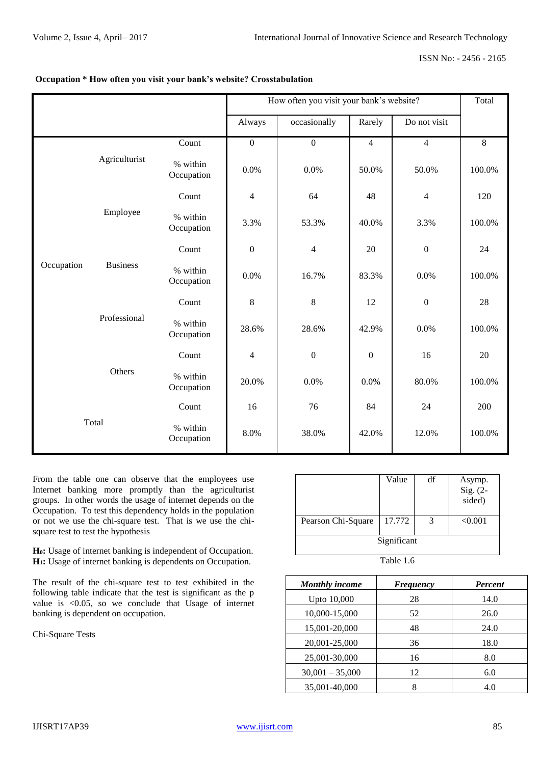#### ISSN No: - 2456 - 2165

|                                           |               |                        |                          | How often you visit your bank's website? | Total            |                  |        |
|-------------------------------------------|---------------|------------------------|--------------------------|------------------------------------------|------------------|------------------|--------|
|                                           |               |                        | Always                   | occasionally                             | Rarely           | Do not visit     |        |
|                                           |               | Count                  | $\boldsymbol{0}$         | $\boldsymbol{0}$                         | $\overline{4}$   | $\overline{4}$   | 8      |
|                                           | Agriculturist | % within<br>Occupation | 0.0%                     | 0.0%                                     | 50.0%            | 50.0%            | 100.0% |
|                                           |               | Count                  | $\overline{\mathcal{L}}$ | 64                                       | 48               | $\overline{4}$   | 120    |
| Employee<br><b>Business</b><br>Occupation |               | % within<br>Occupation | 3.3%                     | 53.3%                                    | 40.0%            | 3.3%             | 100.0% |
|                                           |               | Count                  | $\boldsymbol{0}$         | $\overline{4}$                           | 20               | $\boldsymbol{0}$ | 24     |
|                                           |               | % within<br>Occupation | 0.0%                     | 16.7%                                    | 83.3%            | 0.0%             | 100.0% |
|                                           |               | Count                  | 8                        | $\,8\,$                                  | 12               | $\boldsymbol{0}$ | 28     |
|                                           | Professional  | % within<br>Occupation | 28.6%                    | 28.6%                                    | 42.9%            | 0.0%             | 100.0% |
|                                           |               | Count                  | $\overline{\mathcal{L}}$ | $\boldsymbol{0}$                         | $\boldsymbol{0}$ | 16               | 20     |
|                                           | Others        | % within<br>Occupation | 20.0%                    | 0.0%                                     | 0.0%             | 80.0%            | 100.0% |
| Total                                     |               | Count                  | 16                       | 76                                       | 84               | 24               | 200    |
|                                           |               | % within<br>Occupation | 8.0%                     | 38.0%                                    | 42.0%            | 12.0%            | 100.0% |

# **Occupation \* How often you visit your bank's website? Crosstabulation**

From the table one can observe that the employees use Internet banking more promptly than the agriculturist groups. In other words the usage of internet depends on the Occupation. To test this dependency holds in the population or not we use the chi-square test. That is we use the chisquare test to test the hypothesis

**H0:** Usage of internet banking is independent of Occupation. **H1:** Usage of internet banking is dependents on Occupation.

The result of the chi-square test to test exhibited in the following table indicate that the test is significant as the p value is <0.05, so we conclude that Usage of internet banking is dependent on occupation.

Chi-Square Tests

|                    | Value       | df | Asymp.<br>$Sig. (2-$<br>sided) |
|--------------------|-------------|----|--------------------------------|
| Pearson Chi-Square | 17.772      | 3  | < 0.001                        |
|                    | Significant |    |                                |

| <b>Monthly income</b> | Frequency | Percent |
|-----------------------|-----------|---------|
| Upto 10,000           | 28        | 14.0    |
| 10,000-15,000         | 52        | 26.0    |
| 15,001-20,000         | 48        | 24.0    |
| 20,001-25,000         | 36        | 18.0    |
| 25,001-30,000         | 16        | 8.0     |
| $30,001 - 35,000$     | 12        | 6.0     |
| 35,001-40,000         | 8         | 4.0     |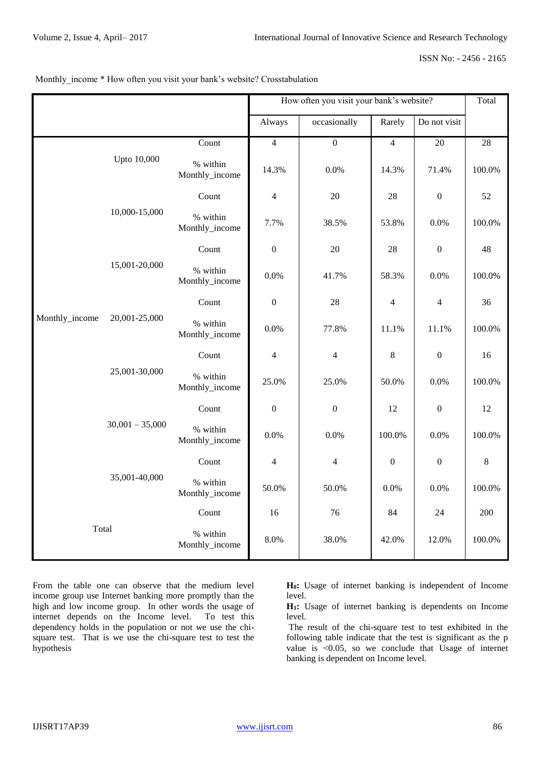ISSN No: - 2456 - 2165

|  |  | Monthly_income * How often you visit your bank's website? Crosstabulation |
|--|--|---------------------------------------------------------------------------|
|--|--|---------------------------------------------------------------------------|

|                |                                |                            | How often you visit your bank's website? | Total                    |                  |                  |                 |
|----------------|--------------------------------|----------------------------|------------------------------------------|--------------------------|------------------|------------------|-----------------|
|                |                                |                            | Always                                   | occasionally             | Rarely           | Do not visit     |                 |
|                |                                | Count                      | $\overline{4}$                           | $\boldsymbol{0}$         | $\overline{4}$   | 20               | $\overline{28}$ |
|                | Upto 10,000                    | % within<br>Monthly_income | 14.3%                                    | 0.0%                     | 14.3%            | 71.4%            | 100.0%          |
|                |                                | Count                      | $\overline{4}$                           | $20\,$                   | 28               | $\boldsymbol{0}$ | 52              |
|                | 10,000-15,000                  | % within<br>Monthly_income | 7.7%                                     | 38.5%                    | 53.8%            | 0.0%             | 100.0%          |
|                |                                | Count                      | $\mathbf{0}$                             | 20                       | 28               | $\mathbf{0}$     | 48              |
|                | 15,001-20,000                  | % within<br>Monthly_income | 0.0%                                     | 41.7%                    | 58.3%            | 0.0%             | 100.0%          |
| Monthly_income | 20,001-25,000<br>25,001-30,000 | Count                      | $\boldsymbol{0}$                         | 28                       | $\overline{4}$   | 4                | 36              |
|                |                                | % within<br>Monthly_income | 0.0%                                     | 77.8%                    | 11.1%            | 11.1%            | 100.0%          |
|                |                                | Count                      | $\overline{4}$                           | $\overline{\mathcal{L}}$ | $8\,$            | $\boldsymbol{0}$ | 16              |
|                |                                | % within<br>Monthly_income | 25.0%                                    | 25.0%                    | 50.0%            | 0.0%             | 100.0%          |
|                |                                | Count                      | $\boldsymbol{0}$                         | $\boldsymbol{0}$         | 12               | $\boldsymbol{0}$ | 12              |
|                | $30,001 - 35,000$              | % within<br>Monthly_income | 0.0%                                     | 0.0%                     | 100.0%           | 0.0%             | 100.0%          |
|                |                                | Count                      | $\overline{4}$                           | $\overline{4}$           | $\boldsymbol{0}$ | $\boldsymbol{0}$ | $\,8\,$         |
|                | 35,001-40,000                  | % within<br>Monthly_income | 50.0%                                    | 50.0%                    | 0.0%             | 0.0%             | 100.0%          |
|                |                                | Count                      | 16                                       | 76                       | 84               | 24               | 200             |
| Total          |                                | % within<br>Monthly_income | 8.0%                                     | 38.0%                    | 42.0%            | 12.0%            | 100.0%          |

From the table one can observe that the medium level income group use Internet banking more promptly than the high and low income group. In other words the usage of internet depends on the Income level. To test this internet depends on the Income level. dependency holds in the population or not we use the chisquare test. That is we use the chi-square test to test the hypothesis

**H0:** Usage of internet banking is independent of Income level.

**H1:** Usage of internet banking is dependents on Income level.

The result of the chi-square test to test exhibited in the following table indicate that the test is significant as the p value is <0.05, so we conclude that Usage of internet banking is dependent on Income level.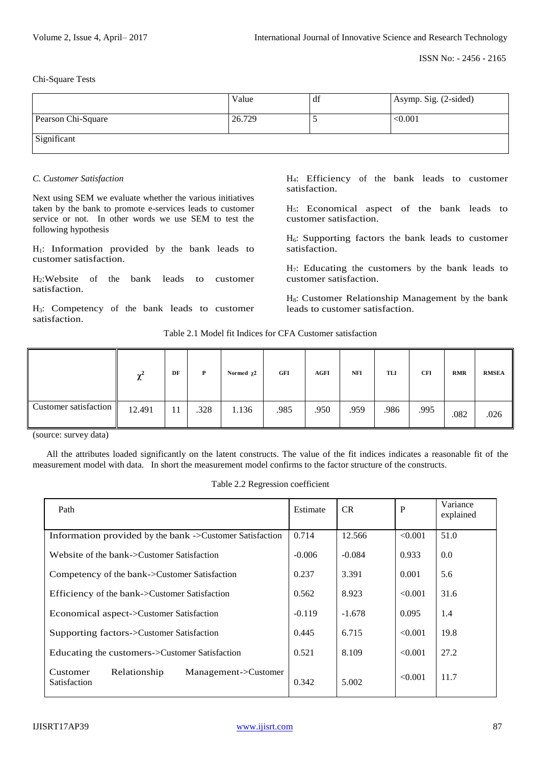Chi-Square Tests

|                    | Value  | df | Asymp. Sig. (2-sided) |
|--------------------|--------|----|-----------------------|
| Pearson Chi-Square | 26.729 |    | < 0.001               |
| Significant        |        |    |                       |

#### *C. Customer Satisfaction*

Next using SEM we evaluate whether the various initiatives taken by the bank to promote e-services leads to customer service or not. In other words we use SEM to test the following hypothesis

 $H<sub>1</sub>$ : Information provided by the bank leads to customer satisfaction.

H2:Website of the bank leads to customer satisfaction.

H3: Competency of the bank leads to customer satisfaction.

H4: Efficiency of the bank leads to customer satisfaction.

H5: Economical aspect of the bank leads to customer satisfaction.

 $H<sub>6</sub>$ : Supporting factors the bank leads to customer satisfaction.

H7: Educating the customers by the bank leads to customer satisfaction.

H8: Customer Relationship Management by the bank leads to customer satisfaction.

Table 2.1 Model fit Indices for CFA Customer satisfaction

|                       | ٨r<br>∼ | DF | P    | Normed $\chi$ 2 | GFI  | <b>AGFI</b> | <b>NFI</b> | TLI  | <b>CFI</b> | <b>RMR</b> | <b>RMSEA</b> |
|-----------------------|---------|----|------|-----------------|------|-------------|------------|------|------------|------------|--------------|
| Customer satisfaction | 12.491  | -4 | .328 | 1.136           | .985 | .950        | .959       | .986 | .995       | .082       | .026         |

(source: survey data)

 All the attributes loaded significantly on the latent constructs. The value of the fit indices indicates a reasonable fit of the measurement model with data. In short the measurement model confirms to the factor structure of the constructs.

| Path                                                             | Estimate | <b>CR</b> | $\mathbf{P}$ | Variance<br>explained |
|------------------------------------------------------------------|----------|-----------|--------------|-----------------------|
| Information provided by the bank ->Customer Satisfaction         | 0.714    | 12.566    | < 0.001      | 51.0                  |
| Website of the bank->Customer Satisfaction                       | $-0.006$ | $-0.084$  | 0.933        | 0.0                   |
| Competency of the bank->Customer Satisfaction                    | 0.237    | 3.391     | 0.001        | 5.6                   |
| Efficiency of the bank->Customer Satisfaction                    | 0.562    | 8.923     | < 0.001      | 31.6                  |
| Economical aspect->Customer Satisfaction                         | $-0.119$ | $-1.678$  | 0.095        | 1.4                   |
| Supporting factors->Customer Satisfaction                        | 0.445    | 6.715     | < 0.001      | 19.8                  |
| Educating the customers->Customer Satisfaction                   | 0.521    | 8.109     | < 0.001      | 27.2                  |
| Relationship<br>Management->Customer<br>Customer<br>Satisfaction | 0.342    | 5.002     | < 0.001      | 11.7                  |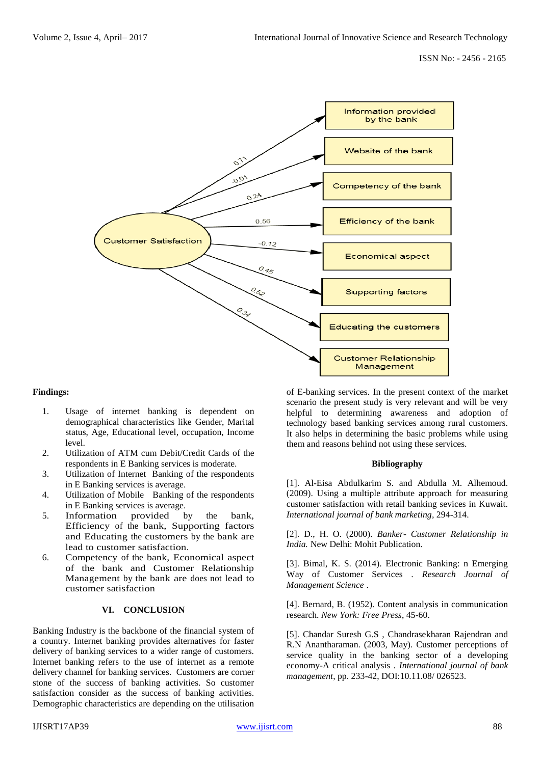

#### **Findings:**

- 1. Usage of internet banking is dependent on demographical characteristics like Gender, Marital status, Age, Educational level, occupation, Income level.
- 2. Utilization of ATM cum Debit/Credit Cards of the respondents in E Banking services is moderate.
- 3. Utilization of Internet Banking of the respondents in E Banking services is average.
- 4. Utilization of Mobile Banking of the respondents in E Banking services is average.
- 5. Information provided by the bank, Efficiency of the bank, Supporting factors and Educating the customers by the bank are lead to customer satisfaction.
- 6. Competency of the bank, Economical aspect of the bank and Customer Relationship Management by the bank are does not lead to customer satisfaction

## **VI. CONCLUSION**

Banking Industry is the backbone of the financial system of a country. Internet banking provides alternatives for faster delivery of banking services to a wider range of customers. Internet banking refers to the use of internet as a remote delivery channel for banking services. Customers are corner stone of the success of banking activities. So customer satisfaction consider as the success of banking activities. Demographic characteristics are depending on the utilisation

of E-banking services. In the present context of the market scenario the present study is very relevant and will be very helpful to determining awareness and adoption of technology based banking services among rural customers. It also helps in determining the basic problems while using them and reasons behind not using these services.

#### **Bibliography**

[1]. Al-Eisa Abdulkarim S. and Abdulla M. Alhemoud. (2009). Using a multiple attribute approach for measuring customer satisfaction with retail banking sevices in Kuwait. *International journal of bank marketing*, 294-314.

[2]. D., H. O. (2000). *Banker- Customer Relationship in India.* New Delhi: Mohit Publication.

[3]. Bimal, K. S. (2014). Electronic Banking: n Emerging Way of Customer Services . *Research Journal of Management Science* .

[4]. Bernard, B. (1952). Content analysis in communication research. *New York: Free Press*, 45-60.

[5]. Chandar Suresh G.S , Chandrasekharan Rajendran and R.N Anantharaman. (2003, May). Customer perceptions of service quality in the banking sector of a developing economy-A critical analysis . *International journal of bank management*, pp. 233-42, DOI:10.11.08/ 026523.